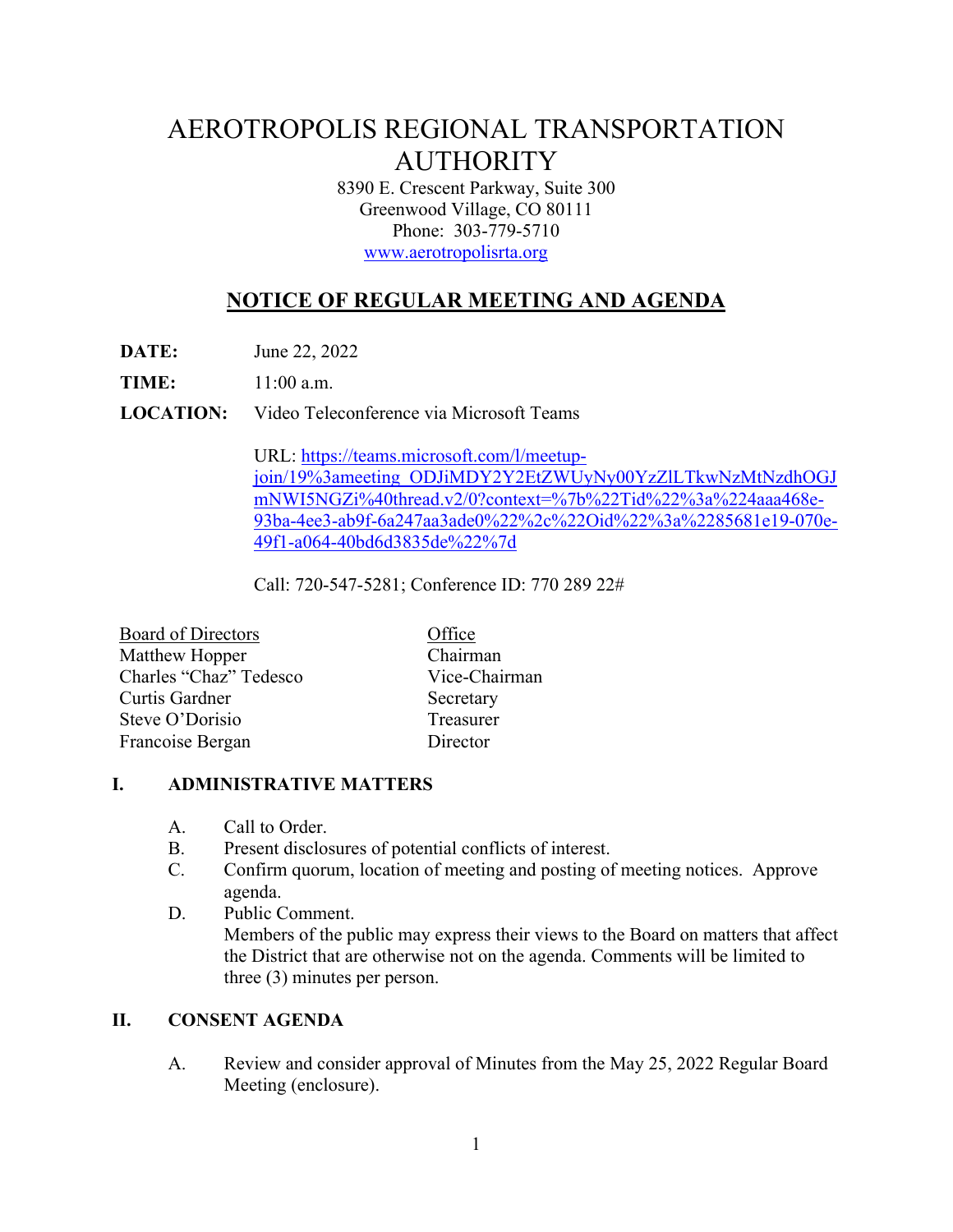# AEROTROPOLIS REGIONAL TRANSPORTATION AUTHORITY

8390 E. Crescent Parkway, Suite 300 Greenwood Village, CO 80111 Phone: 303-779-5710 www.aerotropolisrta.org

## **NOTICE OF REGULAR MEETING AND AGENDA**

**DATE:** June 22, 2022

**TIME:** 11:00 a.m.

**LOCATION:** Video Teleconference via Microsoft Teams

URL: https://teams.microsoft.com/l/meetupjoin/19%3ameeting\_ODJiMDY2Y2EtZWUyNy00YzZlLTkwNzMtNzdhOGJ mNWI5NGZi%40thread.v2/0?context=%7b%22Tid%22%3a%224aaa468e-93ba-4ee3-ab9f-6a247aa3ade0%22%2c%22Oid%22%3a%2285681e19-070e-49f1-a064-40bd6d3835de%22%7d

Call: 720-547-5281; Conference ID: 770 289 22#

| <b>Board of Directors</b> | Office        |
|---------------------------|---------------|
| Matthew Hopper            | Chairman      |
| Charles "Chaz" Tedesco    | Vice-Chairman |
| Curtis Gardner            | Secretary     |
| Steve O'Dorisio           | Treasurer     |
| Francoise Bergan          | Director      |

#### **I. ADMINISTRATIVE MATTERS**

- A. Call to Order.
- B. Present disclosures of potential conflicts of interest.
- C. Confirm quorum, location of meeting and posting of meeting notices. Approve agenda.
- D. Public Comment. Members of the public may express their views to the Board on matters that affect the District that are otherwise not on the agenda. Comments will be limited to three (3) minutes per person.

#### **II. CONSENT AGENDA**

A. Review and consider approval of Minutes from the May 25, 2022 Regular Board Meeting (enclosure).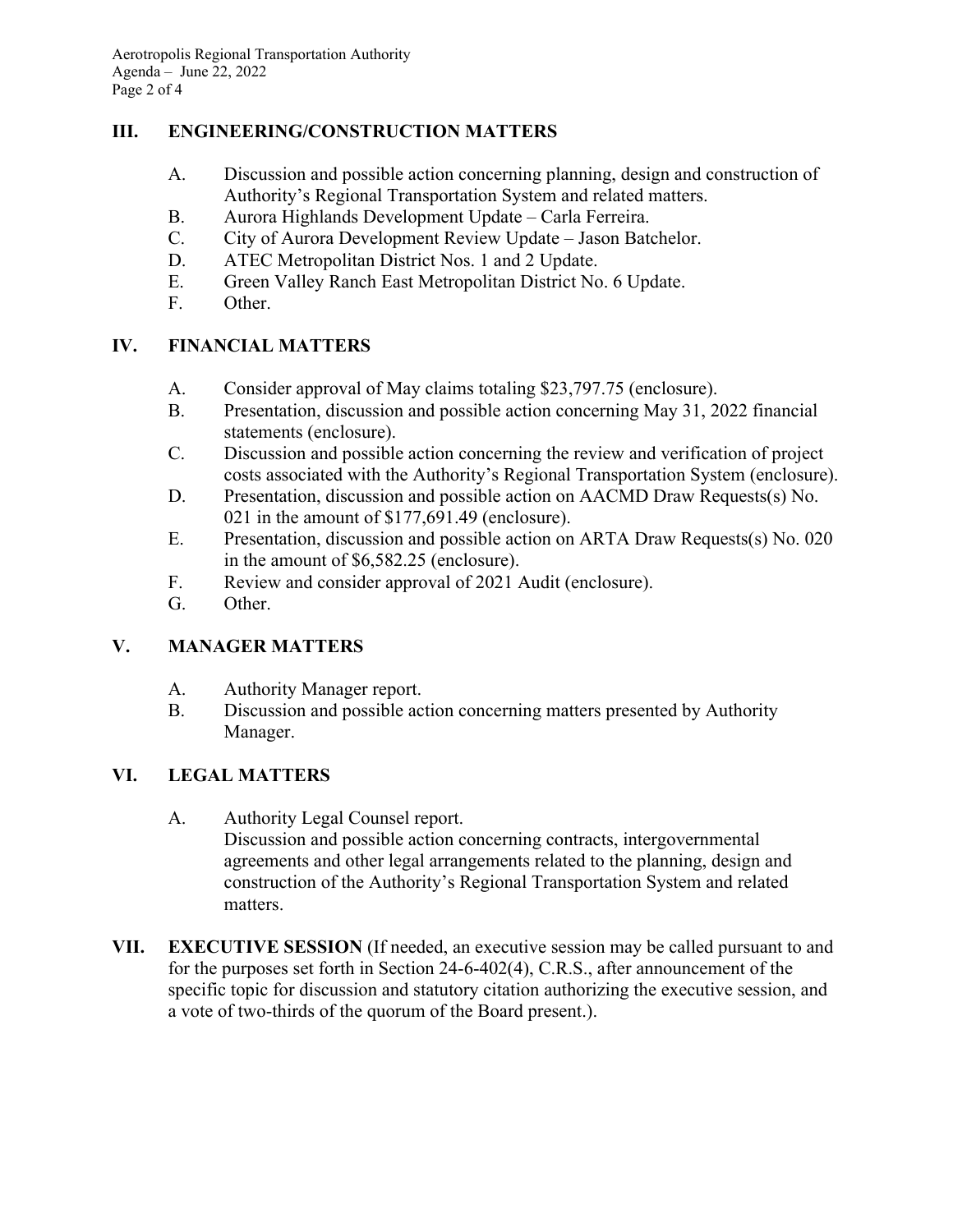#### **III. ENGINEERING/CONSTRUCTION MATTERS**

- A. Discussion and possible action concerning planning, design and construction of Authority's Regional Transportation System and related matters.
- B. Aurora Highlands Development Update Carla Ferreira.
- C. City of Aurora Development Review Update Jason Batchelor.
- D. ATEC Metropolitan District Nos. 1 and 2 Update.
- E. Green Valley Ranch East Metropolitan District No. 6 Update.
- F. Other.

### **IV. FINANCIAL MATTERS**

- A. Consider approval of May claims totaling \$23,797.75 (enclosure).
- B. Presentation, discussion and possible action concerning May 31, 2022 financial statements (enclosure).
- C. Discussion and possible action concerning the review and verification of project costs associated with the Authority's Regional Transportation System (enclosure).
- D. Presentation, discussion and possible action on AACMD Draw Requests(s) No. 021 in the amount of \$177,691.49 (enclosure).
- E. Presentation, discussion and possible action on ARTA Draw Requests(s) No. 020 in the amount of \$6,582.25 (enclosure).
- F. Review and consider approval of 2021 Audit (enclosure).
- G. Other.

### **V. MANAGER MATTERS**

- A. Authority Manager report.
- B. Discussion and possible action concerning matters presented by Authority Manager.

#### **VI. LEGAL MATTERS**

A. Authority Legal Counsel report.

Discussion and possible action concerning contracts, intergovernmental agreements and other legal arrangements related to the planning, design and construction of the Authority's Regional Transportation System and related matters.

**VII. EXECUTIVE SESSION** (If needed, an executive session may be called pursuant to and for the purposes set forth in Section 24-6-402(4), C.R.S., after announcement of the specific topic for discussion and statutory citation authorizing the executive session, and a vote of two-thirds of the quorum of the Board present.).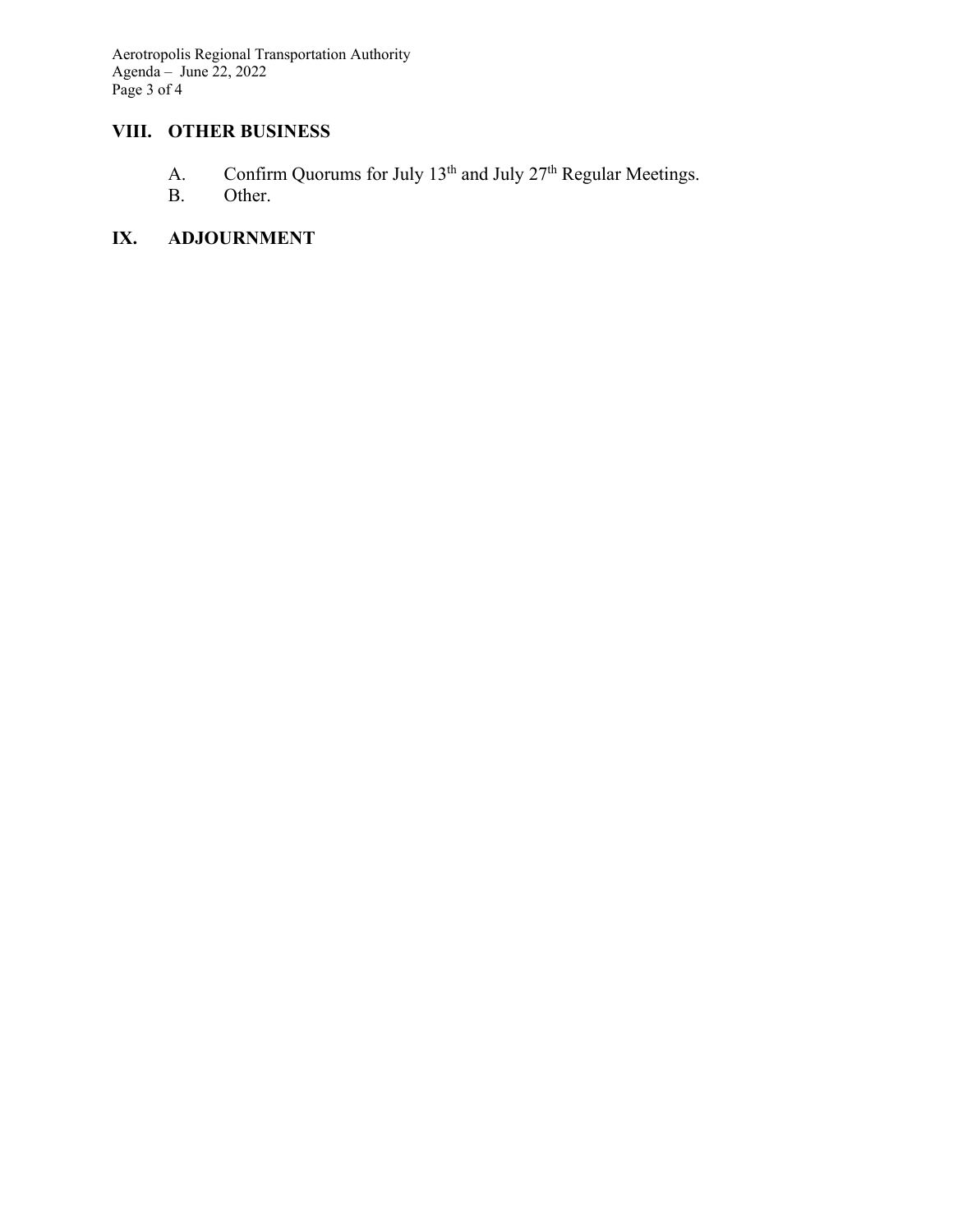Aerotropolis Regional Transportation Authority Agenda – June 22, 2022 Page 3 of 4

## **VIII. OTHER BUSINESS**

- A. Confirm Quorums for July 13<sup>th</sup> and July 27<sup>th</sup> Regular Meetings.
- B. Other.

## **IX. ADJOURNMENT**